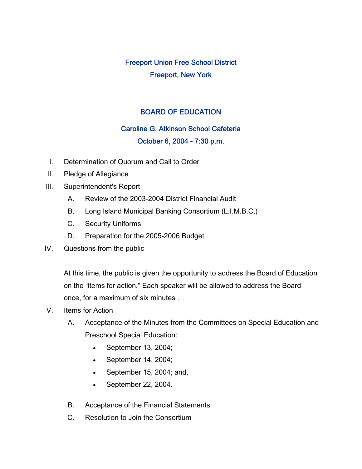# Freeport Union Free School District Freeport, New York

# BOARD OF EDUCATION

#### Caroline G. Atkinson School Cafeteria

## October 6, 2004 - 7:30 p.m.

- I. Determination of Quorum and Call to Order
- II. Pledge of Allegiance
- III. Superintendent's Report
	- A. Review of the 2003-2004 District Financial Audit
	- B. Long Island Municipal Banking Consortium (L.I.M.B.C.)
	- C. Security Uniforms
	- D. Preparation for the 2005-2006 Budget
- IV. Questions from the public

At this time, the public is given the opportunity to address the Board of Education on the "items for action." Each speaker will be allowed to address the Board once, for a maximum of six minutes .

- V. Items for Action
	- A. Acceptance of the Minutes from the Committees on Special Education and Preschool Special Education:
		- September 13, 2004;
		- September 14, 2004;
		- September 15, 2004; and,
		- September 22, 2004.
	- B. Acceptance of the Financial Statements
	- C. Resolution to Join the Consortium